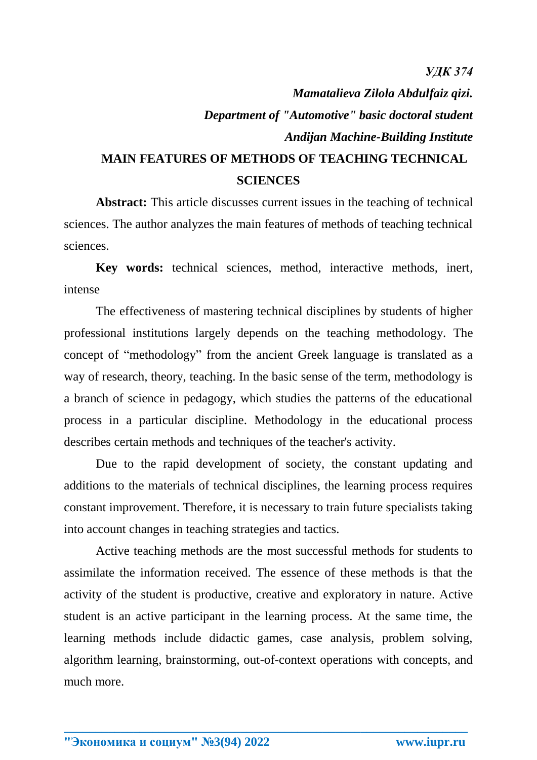## *Mamatalieva Zilola Abdulfaiz qizi. Department of "Automotive" basic doctoral student Andijan Machine-Building Institute* **MAIN FEATURES OF METHODS OF TEACHING TECHNICAL**

## **SCIENCES**

**Abstract:** This article discusses current issues in the teaching of technical sciences. The author analyzes the main features of methods of teaching technical sciences.

**Key words:** technical sciences, method, interactive methods, inert, intense

The effectiveness of mastering technical disciplines by students of higher professional institutions largely depends on the teaching methodology. The concept of "methodology" from the ancient Greek language is translated as a way of research, theory, teaching. In the basic sense of the term, methodology is a branch of science in pedagogy, which studies the patterns of the educational process in a particular discipline. Methodology in the educational process describes certain methods and techniques of the teacher's activity.

Due to the rapid development of society, the constant updating and additions to the materials of technical disciplines, the learning process requires constant improvement. Therefore, it is necessary to train future specialists taking into account changes in teaching strategies and tactics.

Active teaching methods are the most successful methods for students to assimilate the information received. The essence of these methods is that the activity of the student is productive, creative and exploratory in nature. Active student is an active participant in the learning process. At the same time, the learning methods include didactic games, case analysis, problem solving, algorithm learning, brainstorming, out-of-context operations with concepts, and much more.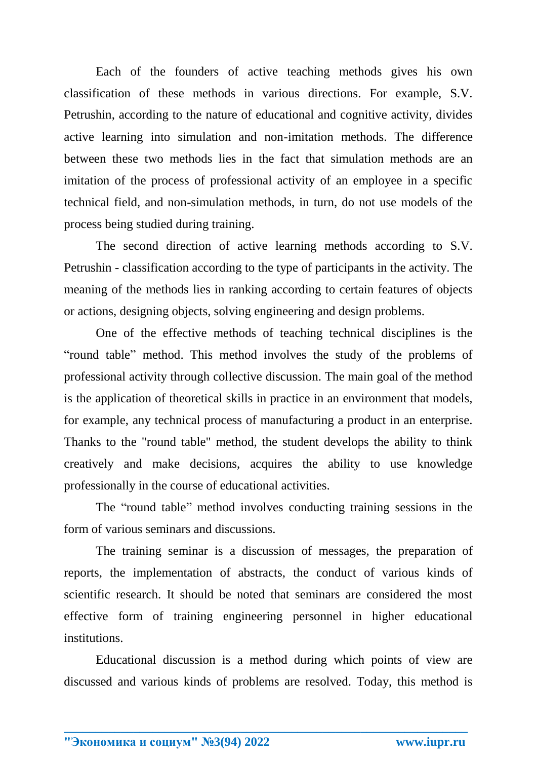Each of the founders of active teaching methods gives his own classification of these methods in various directions. For example, S.V. Petrushin, according to the nature of educational and cognitive activity, divides active learning into simulation and non-imitation methods. The difference between these two methods lies in the fact that simulation methods are an imitation of the process of professional activity of an employee in a specific technical field, and non-simulation methods, in turn, do not use models of the process being studied during training.

The second direction of active learning methods according to S.V. Petrushin - classification according to the type of participants in the activity. The meaning of the methods lies in ranking according to certain features of objects or actions, designing objects, solving engineering and design problems.

One of the effective methods of teaching technical disciplines is the "round table" method. This method involves the study of the problems of professional activity through collective discussion. The main goal of the method is the application of theoretical skills in practice in an environment that models, for example, any technical process of manufacturing a product in an enterprise. Thanks to the "round table" method, the student develops the ability to think creatively and make decisions, acquires the ability to use knowledge professionally in the course of educational activities.

The "round table" method involves conducting training sessions in the form of various seminars and discussions.

The training seminar is a discussion of messages, the preparation of reports, the implementation of abstracts, the conduct of various kinds of scientific research. It should be noted that seminars are considered the most effective form of training engineering personnel in higher educational institutions.

Educational discussion is a method during which points of view are discussed and various kinds of problems are resolved. Today, this method is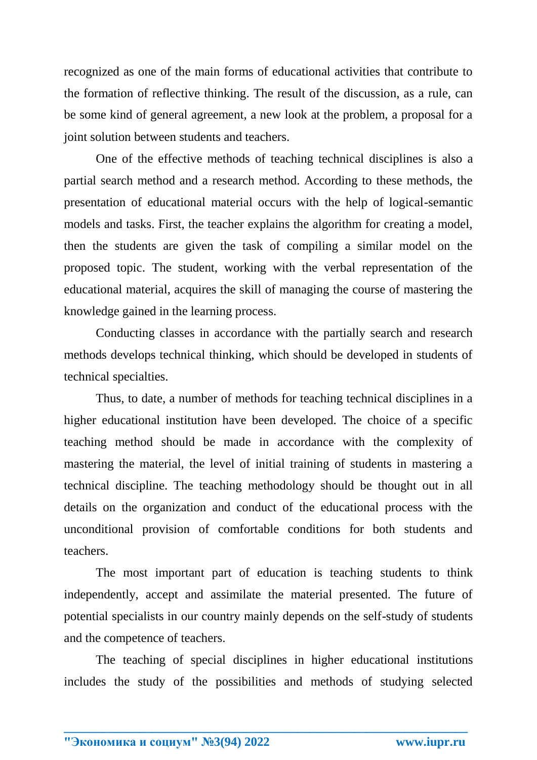recognized as one of the main forms of educational activities that contribute to the formation of reflective thinking. The result of the discussion, as a rule, can be some kind of general agreement, a new look at the problem, a proposal for a joint solution between students and teachers.

One of the effective methods of teaching technical disciplines is also a partial search method and a research method. According to these methods, the presentation of educational material occurs with the help of logical-semantic models and tasks. First, the teacher explains the algorithm for creating a model, then the students are given the task of compiling a similar model on the proposed topic. The student, working with the verbal representation of the educational material, acquires the skill of managing the course of mastering the knowledge gained in the learning process.

Conducting classes in accordance with the partially search and research methods develops technical thinking, which should be developed in students of technical specialties.

Thus, to date, a number of methods for teaching technical disciplines in a higher educational institution have been developed. The choice of a specific teaching method should be made in accordance with the complexity of mastering the material, the level of initial training of students in mastering a technical discipline. The teaching methodology should be thought out in all details on the organization and conduct of the educational process with the unconditional provision of comfortable conditions for both students and teachers.

The most important part of education is teaching students to think independently, accept and assimilate the material presented. The future of potential specialists in our country mainly depends on the self-study of students and the competence of teachers.

The teaching of special disciplines in higher educational institutions includes the study of the possibilities and methods of studying selected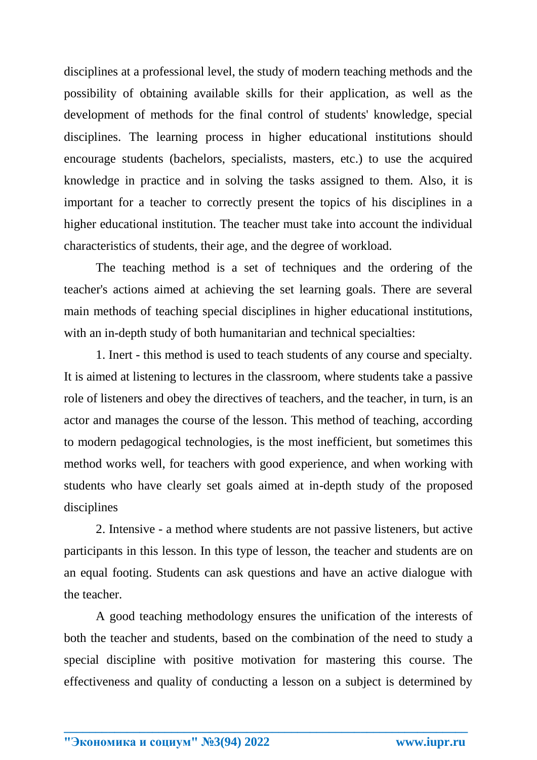disciplines at a professional level, the study of modern teaching methods and the possibility of obtaining available skills for their application, as well as the development of methods for the final control of students' knowledge, special disciplines. The learning process in higher educational institutions should encourage students (bachelors, specialists, masters, etc.) to use the acquired knowledge in practice and in solving the tasks assigned to them. Also, it is important for a teacher to correctly present the topics of his disciplines in a higher educational institution. The teacher must take into account the individual characteristics of students, their age, and the degree of workload.

The teaching method is a set of techniques and the ordering of the teacher's actions aimed at achieving the set learning goals. There are several main methods of teaching special disciplines in higher educational institutions, with an in-depth study of both humanitarian and technical specialties:

1. Inert - this method is used to teach students of any course and specialty. It is aimed at listening to lectures in the classroom, where students take a passive role of listeners and obey the directives of teachers, and the teacher, in turn, is an actor and manages the course of the lesson. This method of teaching, according to modern pedagogical technologies, is the most inefficient, but sometimes this method works well, for teachers with good experience, and when working with students who have clearly set goals aimed at in-depth study of the proposed disciplines

2. Intensive - a method where students are not passive listeners, but active participants in this lesson. In this type of lesson, the teacher and students are on an equal footing. Students can ask questions and have an active dialogue with the teacher.

A good teaching methodology ensures the unification of the interests of both the teacher and students, based on the combination of the need to study a special discipline with positive motivation for mastering this course. The effectiveness and quality of conducting a lesson on a subject is determined by